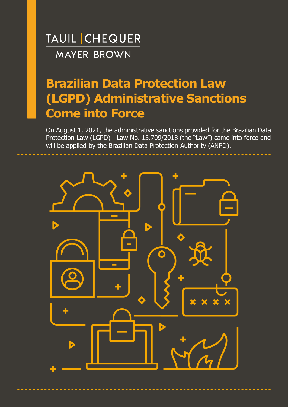# **Brazilian Data Protection Law (LGPD) Administrative Sanctions Come into Force**

On August 1, 2021, the administrative sanctions provided for the Brazilian Data Protection Law (LGPD) - Law No. 13.709/2018 (the "Law") came into force and will be applied by the Brazilian Data Protection Authority (ANPD).

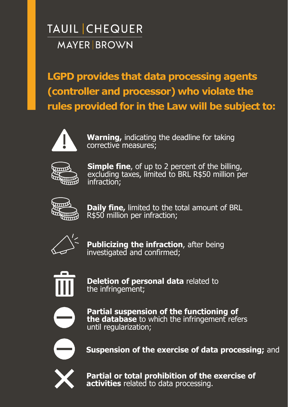**LGPD provides that data processing agents (controller and processor) who violate the rules provided for in the Law will be subject to:**



**Warning,** indicating the deadline for taking corrective measures;



**Simple fine**, of up to 2 percent of the billing, excluding taxes, limited to BRL R\$50 million per infraction;



**Daily fine,** limited to the total amount of BRL R\$50 million per infraction;



**Publicizing the infraction**, after being investigated and confirmed;



**Deletion of personal data** related to the infringement;



**Partial suspension of the functioning of the database** to which the infringement refers until regularization;



**Suspension of the exercise of data processing;** and



**Partial or total prohibition of the exercise of activities** related to data processing.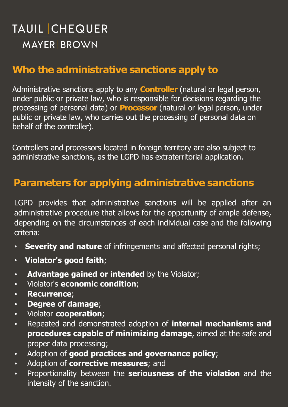### **Who the administrative sanctions apply to**

Administrative sanctions apply to any **Controller** (natural or legal person, under public or private law, who is responsible for decisions regarding the processing of personal data) or **Processor** (natural or legal person, under public or private law, who carries out the processing of personal data on behalf of the controller).

Controllers and processors located in foreign territory are also subject to administrative sanctions, as the LGPD has extraterritorial application.

### **Parameters for applying administrative sanctions**

LGPD provides that administrative sanctions will be applied after an administrative procedure that allows for the opportunity of ample defense, depending on the circumstances of each individual case and the following criteria:

- **Severity and nature** of infringements and affected personal rights;
- **Violator's good faith**;
- **Advantage gained or intended** by the Violator;
- Violator's **economic condition**;
- **Recurrence**;
- **Degree of damage**;
- Violator **cooperation**;
- Repeated and demonstrated adoption of **internal mechanisms and procedures capable of minimizing damage**, aimed at the safe and proper data processing;
- Adoption of **good practices and governance policy**;
- Adoption of **corrective measures**; and
- Proportionality between the **seriousness of the violation** and the intensity of the sanction.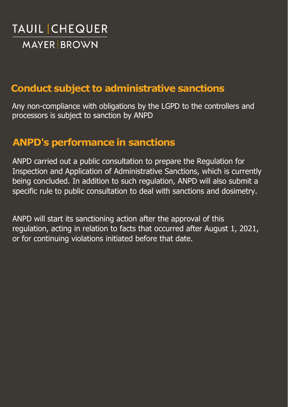### **Conduct subject to administrative sanctions**

Any non-compliance with obligations by the LGPD to the controllers and processors is subject to sanction by ANPD

### **ANPD's performance in sanctions**

ANPD carried out a public consultation to prepare the Regulation for Inspection and Application of Administrative Sanctions, which is currently being concluded. In addition to such regulation, ANPD will also submit a specific rule to public consultation to deal with sanctions and dosimetry.

ANPD will start its sanctioning action after the approval of this regulation, acting in relation to facts that occurred after August 1, 2021, or for continuing violations initiated before that date.